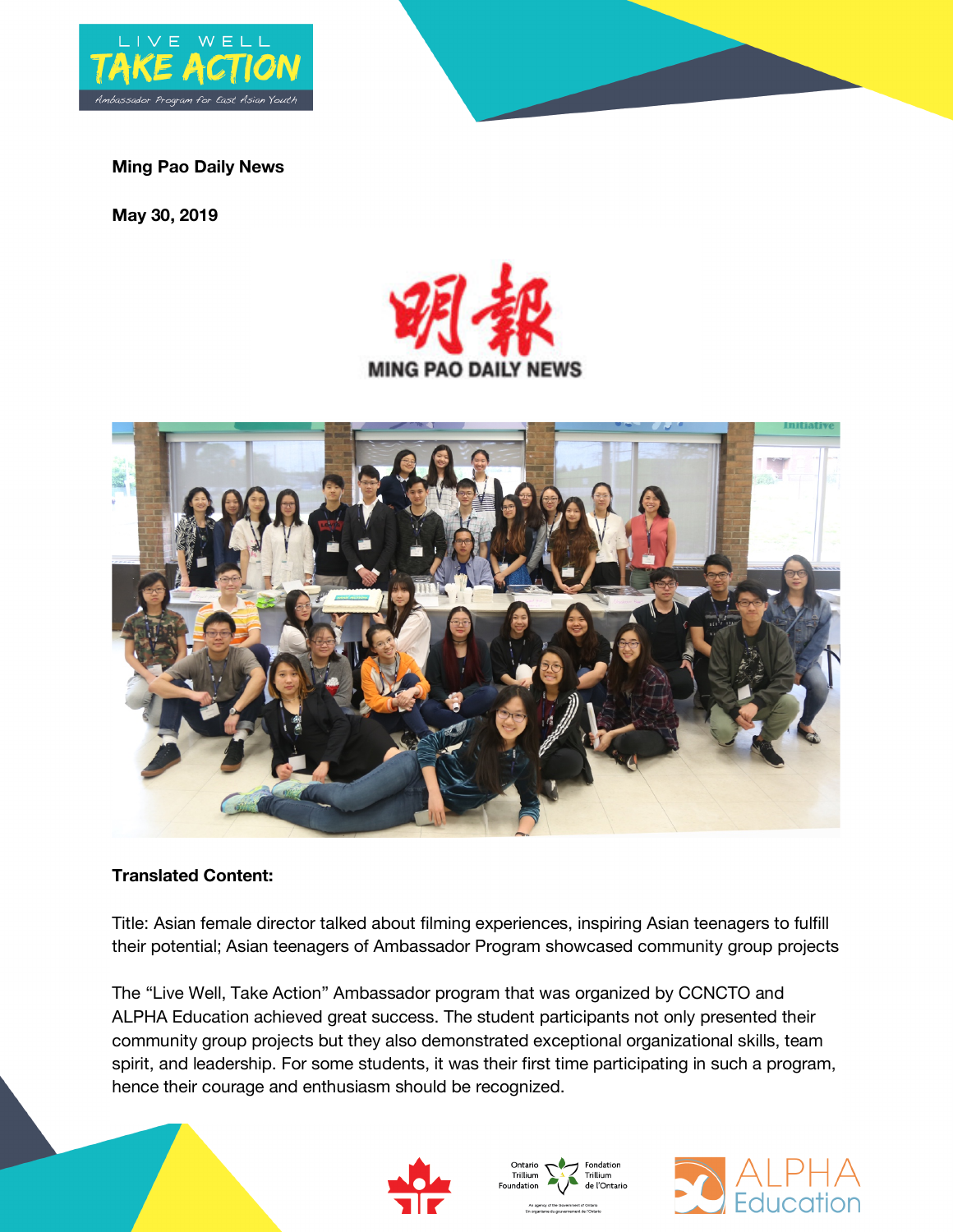

## **Ming Pao Daily News**

**May 30, 2019**





## **Translated Content:**

Title: Asian female director talked about filming experiences, inspiring Asian teenagers to fulfill their potential; Asian teenagers of Ambassador Program showcased community group projects

The "Live Well, Take Action" Ambassador program that was organized by CCNCTO and ALPHA Education achieved great success. The student participants not only presented their community group projects but they also demonstrated exceptional organizational skills, team spirit, and leadership. For some students, it was their first time participating in such a program, hence their courage and enthusiasm should be recognized.